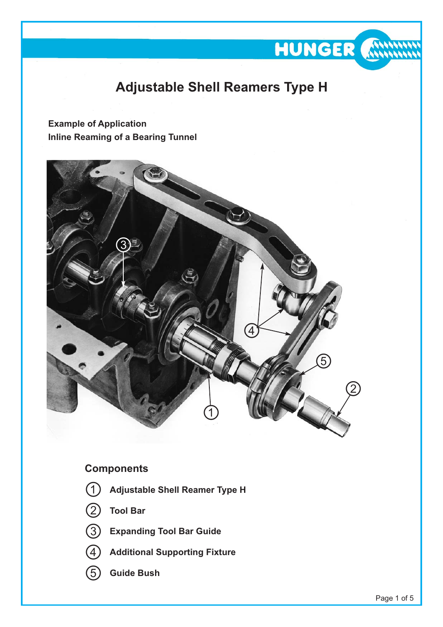

**HUNGER &** 

**Example of Application Inline Reaming of a Bearing Tunnel**



# **Components**

- **Adjustable Shell Reamer Type H**
- **Tool Bar**



- **Expanding Tool Bar Guide**
- **Additional Supporting Fixture**
- **Guide Bush**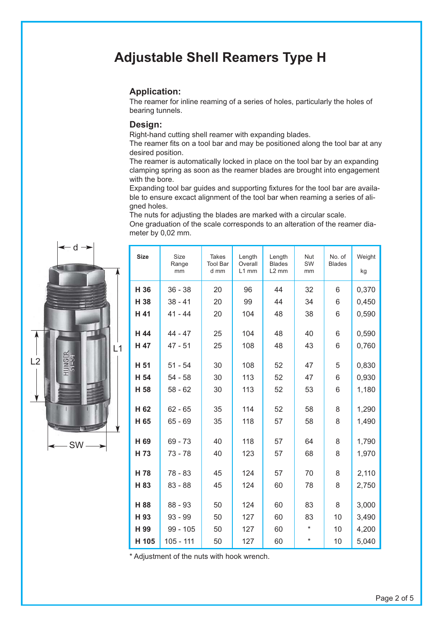# **Adjustable Shell Reamers Type H**

#### **Application:**

The reamer for inline reaming of a series of holes, particularly the holes of bearing tunnels.

#### **Design:**

Right-hand cutting shell reamer with expanding blades.

The reamer fits on a tool bar and may be positioned along the tool bar at any desired position.

The reamer is automatically locked in place on the tool bar by an expanding clamping spring as soon as the reamer blades are brought into engagement with the bore.

Expanding tool bar guides and supporting fixtures for the tool bar are available to ensure excact alignment of the tool bar when reaming a series of aligned holes.

The nuts for adjusting the blades are marked with a circular scale.

One graduation of the scale corresponds to an alteration of the reamer diameter by 0,02 mm.



| <b>Size</b>             | <b>Size</b><br>Range<br>mm | <b>Takes</b><br><b>Tool Bar</b><br>d mm | Length<br>Overall<br>$L1$ mm | Length<br><b>Blades</b><br>$L2$ mm | Nut<br>SW<br>mm | No. of<br><b>Blades</b> | Weight<br>kg   |
|-------------------------|----------------------------|-----------------------------------------|------------------------------|------------------------------------|-----------------|-------------------------|----------------|
| H 36                    | $36 - 38$                  | 20                                      | 96                           | 44                                 | 32              | 6                       | 0,370          |
| H 38                    | $38 - 41$                  | 20                                      | 99                           | 44                                 | 34              | 6                       | 0,450          |
| H 41                    | $41 - 44$                  | 20                                      | 104                          | 48                                 | 38              | 6                       | 0,590          |
| H 44<br>H 47            | 44 - 47<br>47 - 51         | 25<br>25                                | 104<br>108                   | 48<br>48                           | 40<br>43        | 6<br>6                  | 0,590<br>0,760 |
| H 51                    | $51 - 54$                  | 30                                      | 108                          | 52                                 | 47              | 5                       | 0,830          |
| H 54                    | $54 - 58$                  | 30                                      | 113                          | 52                                 | 47              | 6                       | 0,930          |
| H 58                    | $58 - 62$                  | 30                                      | 113                          | 52                                 | 53              | 6                       | 1,180          |
| H <sub>62</sub><br>H 65 | $62 - 65$<br>$65 - 69$     | 35<br>35                                | 114<br>118                   | 52<br>57                           | 58<br>58        | 8<br>8                  | 1,290<br>1,490 |
| H 69                    | 69 - 73                    | 40                                      | 118                          | 57                                 | 64              | 8                       | 1,790          |
| H 73                    | $73 - 78$                  | 40                                      | 123                          | 57                                 | 68              | 8                       | 1,970          |
| H 78<br>H 83            | 78 - 83<br>$83 - 88$       | 45<br>45                                | 124<br>124                   | 57<br>60                           | 70<br>78        | 8<br>8                  | 2,110<br>2,750 |
| H 88                    | 88 - 93                    | 50                                      | 124                          | 60                                 | 83              | 8                       | 3,000          |
| H 93                    | $93 - 99$                  | 50                                      | 127                          | 60                                 | 83              | 10                      | 3,490          |
| H 99                    | $99 - 105$                 | 50                                      | 127                          | 60                                 | $\star$         | 10                      | 4,200          |
| H 105                   | 105 - 111                  | 50                                      | 127                          | 60                                 | $\ast$          | 10                      | 5,040          |

\* Adjustment of the nuts with hook wrench.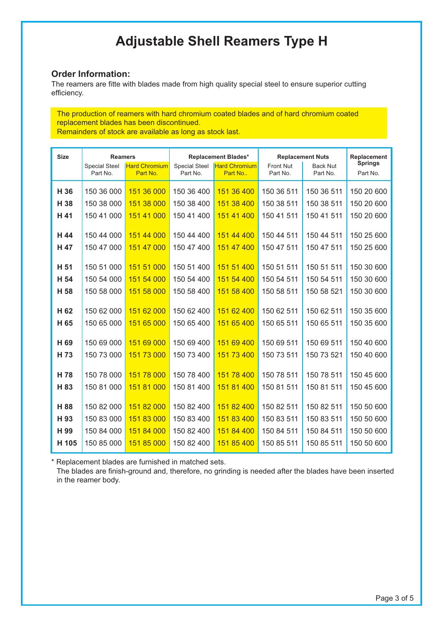# **Adjustable Shell Reamers Type H**

### **Order Information:**

The reamers are fitte with blades made from high quality special steel to ensure superior cutting efficiency.

The production of reamers with hard chromium coated blades and of hard chromium coated replacement blades has been discontinued. Remainders of stock are available as long as stock last.

| <b>Size</b> | <b>Reamers</b>                   |                                  | <b>Replacement Blades*</b>       |                                 | <b>Replacement Nuts</b> |                             | Replacement                |
|-------------|----------------------------------|----------------------------------|----------------------------------|---------------------------------|-------------------------|-----------------------------|----------------------------|
|             | <b>Special Steel</b><br>Part No. | <b>Hard Chromium</b><br>Part No. | <b>Special Steel</b><br>Part No. | <b>Hard Chromium</b><br>Part No | Front Nut<br>Part No.   | <b>Back Nut</b><br>Part No. | <b>Springs</b><br>Part No. |
|             |                                  |                                  |                                  |                                 |                         |                             |                            |
| H 36        | 150 36 000                       | 151 36 000                       | 150 36 400                       | 151 36 400                      | 150 36 511              | 150 36 511                  | 150 20 600                 |
| H 38        | 150 38 000                       | 151 38 000                       | 150 38 400                       | 151 38 400                      | 150 38 511              | 150 38 511                  | 150 20 600                 |
| H 41        | 150 41 000                       | 151 41 000                       | 150 41 400                       | 151 41 400                      | 150 41 511              | 150 41 511                  | 150 20 600                 |
| H 44        | 150 44 000                       | 151 44 000                       | 150 44 400                       | 151 44 400                      | 150 44 511              | 150 44 511                  | 150 25 600                 |
| H 47        | 150 47 000                       | 151 47 000                       | 150 47 400                       | 151 47 400                      | 150 47 511              | 150 47 511                  | 150 25 600                 |
|             |                                  |                                  |                                  |                                 |                         |                             |                            |
| H 51        | 150 51 000                       | 151 51 000                       | 150 51 400                       | 151 51 400                      | 150 51 511              | 150 51 511                  | 150 30 600                 |
| H 54        | 150 54 000                       | 151 54 000                       | 150 54 400                       | 151 54 400                      | 150 54 511              | 150 54 511                  | 150 30 600                 |
| H 58        | 150 58 000                       | 151 58 000                       | 150 58 400                       | 151 58 400                      | 150 58 511              | 150 58 521                  | 150 30 600                 |
|             |                                  |                                  |                                  |                                 |                         |                             |                            |
| H 62        | 150 62 000                       | 151 62 000                       | 150 62 400                       | 151 62 400                      | 150 62 511              | 150 62 511                  | 150 35 600                 |
| H 65        | 150 65 000                       | 151 65 000                       | 150 65 400                       | 151 65 400                      | 150 65 511              | 150 65 511                  | 150 35 600                 |
| H 69        | 150 69 000                       | 151 69 000                       | 150 69 400                       | 151 69 400                      | 150 69 511              | 150 69 511                  | 150 40 600                 |
| H 73        | 150 73 000                       | 151 73 000                       | 150 73 400                       | 151 73 400                      | 150 73 511              | 150 73 521                  | 150 40 600                 |
|             |                                  |                                  |                                  |                                 |                         |                             |                            |
| H 78        | 150 78 000                       | 151 78 000                       | 150 78 400                       | 151 78 400                      | 150 78 511              | 150 78 511                  | 150 45 600                 |
| H 83        | 150 81 000                       | 151 81 000                       | 150 81 400                       | 151 81 400                      | 150 81 511              | 150 81 511                  | 150 45 600                 |
| H 88        | 150 82 000                       | 151 82 000                       | 150 82 400                       | 151 82 400                      | 150 82 511              | 150 82 511                  | 150 50 600                 |
| H 93        | 150 83 000                       | 151 83 000                       | 150 83 400                       | 151 83 400                      | 150 83 511              | 150 83 511                  | 150 50 600                 |
| H 99        | 150 84 000                       | 151 84 000                       | 150 82 400                       | 151 84 400                      | 150 84 511              | 150 84 511                  | 150 50 600                 |
| H 105       | 150 85 000                       | 151 85 000                       | 150 82 400                       | 151 85 400                      | 150 85 511              | 150 85 511                  | 150 50 600                 |
|             |                                  |                                  |                                  |                                 |                         |                             |                            |

\* Replacement blades are furnished in matched sets.

The blades are finish-ground and, therefore, no grinding is needed after the blades have been inserted in the reamer body.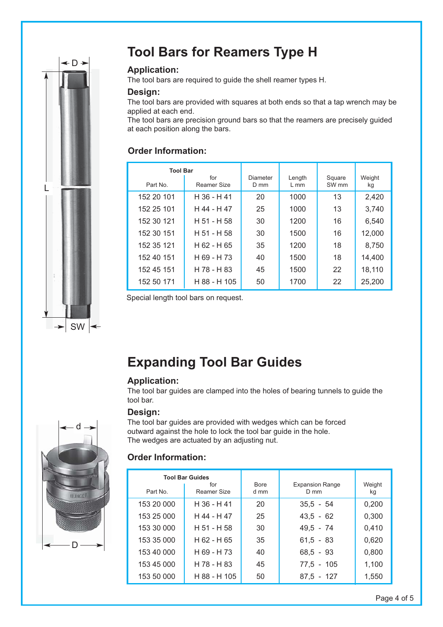

# **Tool Bars for Reamers Type H**

### **Application:**

The tool bars are required to guide the shell reamer types H.

### **Design:**

The tool bars are provided with squares at both ends so that a tap wrench may be applied at each end.

The tool bars are precision ground bars so that the reamers are precisely guided at each position along the bars.

# **Order Information:**

| <b>Tool Bar</b> |                    |                  |                  |                            |              |
|-----------------|--------------------|------------------|------------------|----------------------------|--------------|
| Part No.        | for<br>Reamer Size | Diameter<br>D mm | Length<br>$L$ mm | Square<br>SW <sub>mm</sub> | Weight<br>kg |
| 152 20 101      | H 36 - H 41        | 20               | 1000             | 13                         | 2,420        |
| 152 25 101      | H 44 - H 47        | 25               | 1000             | 13                         | 3,740        |
| 152 30 121      | H 51 - H 58        | 30               | 1200             | 16                         | 6,540        |
| 152 30 151      | $H$ 51 - H 58      | 30               | 1500             | 16                         | 12,000       |
| 152 35 121      | $H$ 62 - H 65      | 35               | 1200             | 18                         | 8,750        |
| 152 40 151      | H 69 - H 73        | 40               | 1500             | 18                         | 14,400       |
| 152 45 151      | H 78 - H 83        | 45               | 1500             | 22                         | 18,110       |
| 152 50 171      | H 88 - H 105       | 50               | 1700             | 22                         | 25,200       |

Special length tool bars on request.

# **Expanding Tool Bar Guides**

### **Application:**

The tool bar guides are clamped into the holes of bearing tunnels to guide the tool bar.

### **Design:**

d D

The tool bar guides are provided with wedges which can be forced outward against the hole to lock the tool bar guide in the hole. The wedges are actuated by an adjusting nut.

## **Order Information:**

|            | <b>Tool Bar Guides</b><br>for | <b>Bore</b> | <b>Expansion Range</b> | Weight |
|------------|-------------------------------|-------------|------------------------|--------|
| Part No.   | Reamer Size                   | d mm        | $D$ mm                 | kg     |
| 153 20 000 | H 36 - H 41                   | 20          | $35,5 - 54$            | 0,200  |
| 153 25 000 | H 44 - H 47                   | 25          | $43,5 - 62$            | 0,300  |
| 153 30 000 | H 51 - H 58                   | 30          | $49.5 - 74$            | 0,410  |
| 153 35 000 | H 62 - H 65                   | 35          | $61,5 - 83$            | 0,620  |
| 153 40 000 | H 69 - H 73                   | 40          | $68,5 - 93$            | 0,800  |
| 153 45 000 | H 78 - H 83                   | 45          | 77,5 - 105             | 1,100  |
| 153 50 000 | H 88 - H 105                  | 50          | $87.5 - 127$           | 1,550  |